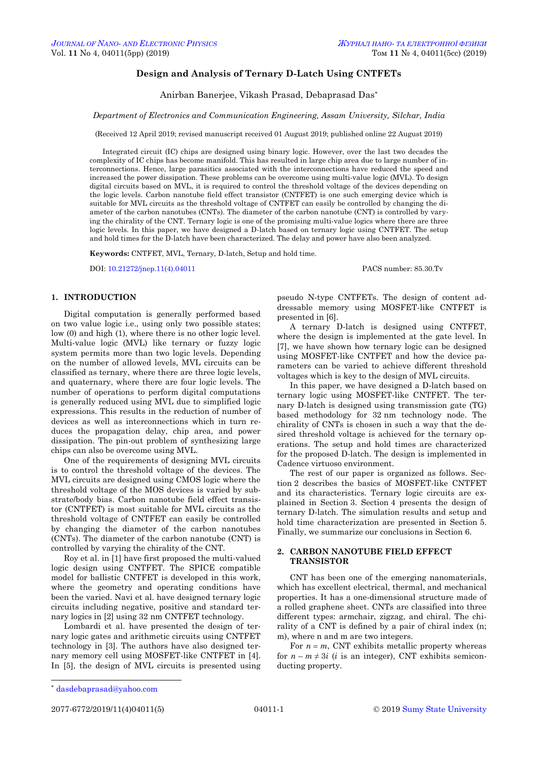# **Design and Analysis of Ternary D-Latch Using CNTFETs**

Anirban Banerjee, Vikash Prasad, Debaprasad Das\*

#### *Department of Electronics and Communication Engineering, Assam University, Silchar, India*

(Received 12 April 2019; revised manuscript received 01 August 2019; published online 22 August 2019)

Integrated circuit (IC) chips are designed using binary logic. However, over the last two decades the complexity of IC chips has become manifold. This has resulted in large chip area due to large number of interconnections. Hence, large parasitics associated with the interconnections have reduced the speed and increased the power dissipation. These problems can be overcome using multi-value logic (MVL). To design digital circuits based on MVL, it is required to control the threshold voltage of the devices depending on the logic levels. Carbon nanotube field effect transistor (CNTFET) is one such emerging device which is suitable for MVL circuits as the threshold voltage of CNTFET can easily be controlled by changing the diameter of the carbon nanotubes (CNTs). The diameter of the carbon nanotube (CNT) is controlled by varying the chirality of the CNT. Ternary logic is one of the promising multi-value logics where there are three logic levels. In this paper, we have designed a D-latch based on ternary logic using CNTFET. The setup and hold times for the D-latch have been characterized. The delay and power have also been analyzed.

**Keywords:** CNTFET, MVL, Ternary, D-latch, Setup and hold time.

DOI[: 10.21272/jnep.11\(4\).04011](https://doi.org/10.21272/jnep.11(4).04011) PACS number: 85.30.Tv

### **1. INTRODUCTION**

Digital computation is generally performed based on two value logic i.e., using only two possible states; low (0) and high (1), where there is no other logic level. Multi-value logic (MVL) like ternary or fuzzy logic system permits more than two logic levels. Depending on the number of allowed levels, MVL circuits can be classified as ternary, where there are three logic levels, and quaternary, where there are four logic levels. The number of operations to perform digital computations is generally reduced using MVL due to simplified logic expressions. This results in the reduction of number of devices as well as interconnections which in turn reduces the propagation delay, chip area, and power dissipation. The pin-out problem of synthesizing large chips can also be overcome using MVL.

One of the requirements of designing MVL circuits is to control the threshold voltage of the devices. The MVL circuits are designed using CMOS logic where the threshold voltage of the MOS devices is varied by substrate/body bias. Carbon nanotube field effect transistor (CNTFET) is most suitable for MVL circuits as the threshold voltage of CNTFET can easily be controlled by changing the diameter of the carbon nanotubes (CNTs). The diameter of the carbon nanotube (CNT) is controlled by varying the chirality of the CNT.

Roy et al. in [1] have first proposed the multi-valued logic design using CNTFET. The SPICE compatible model for ballistic CNTFET is developed in this work, where the geometry and operating conditions have been the varied. Navi et al. have designed ternary logic circuits including negative, positive and standard ternary logics in [2] using 32 nm CNTFET technology.

Lombardi et al. have presented the design of ternary logic gates and arithmetic circuits using CNTFET technology in [3]. The authors have also designed ternary memory cell using MOSFET-like CNTFET in [4]. In [5], the design of MVL circuits is presented using

pseudo N-type CNTFETs. The design of content addressable memory using MOSFET-like CNTFET is presented in [6].

A ternary D-latch is designed using CNTFET, where the design is implemented at the gate level. In [7], we have shown how ternary logic can be designed using MOSFET-like CNTFET and how the device parameters can be varied to achieve different threshold voltages which is key to the design of MVL circuits.

In this paper, we have designed a D-latch based on ternary logic using MOSFET-like CNTFET. The ternary D-latch is designed using transmission gate (TG) based methodology for 32 nm technology node. The chirality of CNTs is chosen in such a way that the desired threshold voltage is achieved for the ternary operations. The setup and hold times are characterized for the proposed D-latch. The design is implemented in Cadence virtuoso environment.

The rest of our paper is organized as follows. Section 2 describes the basics of MOSFET-like CNTFET and its characteristics. Ternary logic circuits are explained in Section 3. Section 4 presents the design of ternary D-latch. The simulation results and setup and hold time characterization are presented in Section 5. Finally, we summarize our conclusions in Section 6.

#### **2. CARBON NANOTUBE FIELD EFFECT TRANSISTOR**

CNT has been one of the emerging nanomaterials, which has excellent electrical, thermal, and mechanical properties. It has a one-dimensional structure made of a rolled graphene sheet. CNTs are classified into three different types: armchair, zigzag, and chiral. The chirality of a CNT is defined by a pair of chiral index (n; m), where n and m are two integers.

For  $n = m$ , CNT exhibits metallic property whereas for  $n - m \neq 3i$  (*i* is an integer), CNT exhibits semiconducting property.

1

<span id="page-0-3"></span><span id="page-0-2"></span><span id="page-0-1"></span><span id="page-0-0"></span>

<sup>\*</sup> [dasdebaprasad@yahoo.com](mailto:dasdebaprasad@yahoo.com)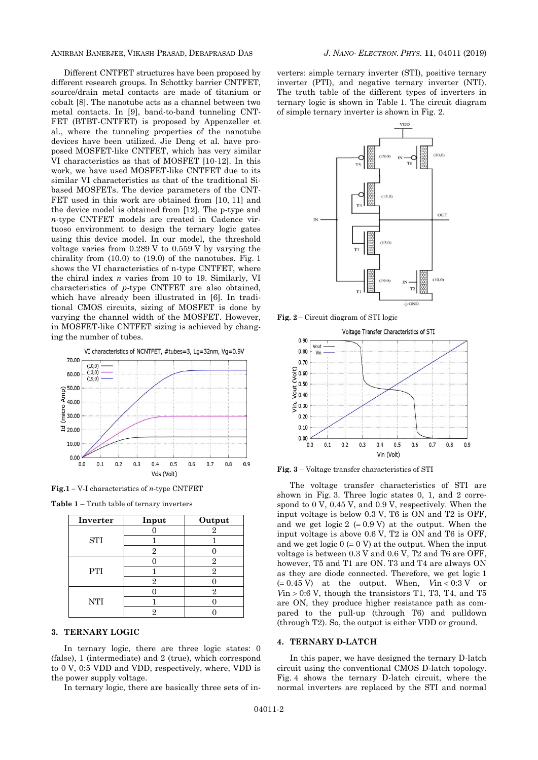ANIRBAN BANERJEE, VIKASH PRASAD, DEBAPRASAD DAS *J. NANO- ELECTRON. PHYS.* **[11](#page-0-2)**, [04011](#page-0-2) [\(2019\)](#page-0-2)

Different CNTFET structures have been proposed by different research groups. In Schottky barrier CNTFET, source/drain metal contacts are made of titanium or cobalt [8]. The nanotube acts as a channel between two metal contacts. In [9], band-to-band tunneling CNT-FET (BTBT-CNTFET) is proposed by Appenzeller et al., where the tunneling properties of the nanotube devices have been utilized. Jie Deng et al. have proposed MOSFET-like CNTFET, which has very similar VI characteristics as that of MOSFET [10-12]. In this work, we have used MOSFET-like CNTFET due to its similar VI characteristics as that of the traditional Sibased MOSFETs. The device parameters of the CNT-FET used in this work are obtained from [10, 11] and the device model is obtained from [12]. The p-type and *n*-type CNTFET models are created in Cadence virtuoso environment to design the ternary logic gates using this device model. In our model, the threshold voltage varies from 0.289 V to 0.559 V by varying the chirality from (10.0) to (19.0) of the nanotubes. Fig. 1 shows the VI characteristics of n-type CNTFET, where the chiral index *n* varies from 10 to 19. Similarly, VI characteristics of *p*-type CNTFET are also obtained, which have already been illustrated in [6]. In traditional CMOS circuits, sizing of MOSFET is done by varying the channel width of the MOSFET. However, in MOSFET-like CNTFET sizing is achieved by changing the number of tubes.



**Fig.1 –** V-I characteristics of *n*-type CNTFET

**Table 1** – Truth table of ternary inverters

| Inverter   | Input | Output |
|------------|-------|--------|
|            |       |        |
| STI        |       |        |
|            |       |        |
|            |       | 2      |
| <b>PTI</b> |       | റ      |
|            | 2     |        |
|            |       | 2      |
| <b>NTI</b> |       |        |
|            |       |        |

## **3. TERNARY LOGIC**

In ternary logic, there are three logic states: 0 (false), 1 (intermediate) and 2 (true), which correspond to 0 V, 0:5 VDD and VDD, respectively, where, VDD is the power supply voltage.

In ternary logic, there are basically three sets of in-

verters: simple ternary inverter (STI), positive ternary inverter (PTI), and negative ternary inverter (NTI). The truth table of the different types of inverters in ternary logic is shown in Table 1. The circuit diagram of simple ternary inverter is shown in Fig. 2.



**Fig. 2 –** Circuit diagram of STI logic



**Fig. 3** – Voltage transfer characteristics of STI

The voltage transfer characteristics of STI are shown in Fig. 3. Three logic states 0, 1, and 2 correspond to 0 V, 0.45 V, and 0.9 V, respectively. When the input voltage is below 0.3 V, T6 is ON and T2 is OFF, and we get logic  $2 (= 0.9 V)$  at the output. When the input voltage is above 0.6 V, T2 is ON and T6 is OFF, and we get logic  $0 (= 0 V)$  at the output. When the input voltage is between 0.3 V and 0.6 V, T2 and T6 are OFF, however, T5 and T1 are ON. T3 and T4 are always ON as they are diode connected. Therefore, we get logic 1  $( = 0.45 \text{ V})$  at the output. When,  $V \text{in} < 0.3 \text{ V}$  or  $V$ in > 0:6 V, though the transistors T1, T3, T4, and T5 are ON, they produce higher resistance path as compared to the pull-up (through T6) and pulldown (through T2). So, the output is either VDD or ground.

#### **4. TERNARY D-LATCH**

In this paper, we have designed the ternary D-latch circuit using the conventional CMOS D-latch topology. Fig. 4 shows the ternary D-latch circuit, where the normal inverters are replaced by the STI and normal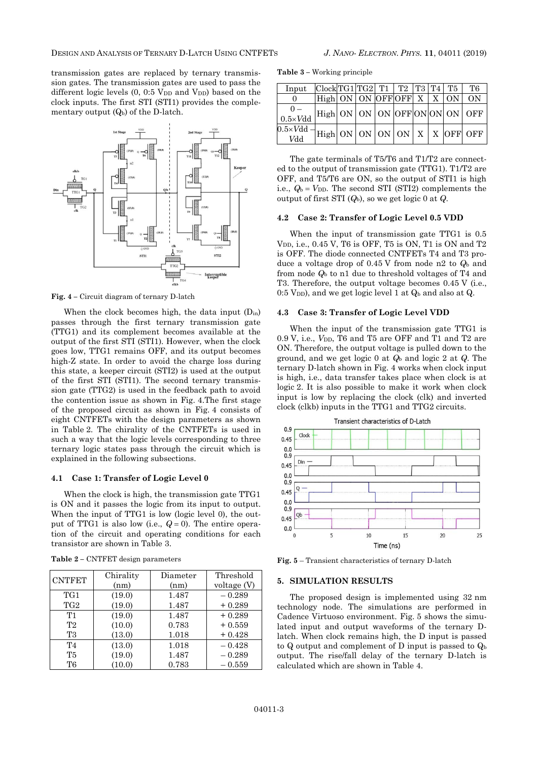transmission gates are replaced by ternary transmission gates. The transmission gates are used to pass the different logic levels  $(0, 0.5 \text{ V}_{DD}$  and  $\text{V}_{DD}$ ) based on the clock inputs. The first STI (STI1) provides the complementary output  $(Q_b)$  of the D-latch.



**Fig. 4 –** Circuit diagram of ternary D-latch

When the clock becomes high, the data input  $(D_{in})$ passes through the first ternary transmission gate (TTG1) and its complement becomes available at the output of the first STI (STI1). However, when the clock goes low, TTG1 remains OFF, and its output becomes high-Z state. In order to avoid the charge loss during this state, a keeper circuit (STI2) is used at the output of the first STI (STI1). The second ternary transmission gate (TTG2) is used in the feedback path to avoid the contention issue as shown in Fig. 4.The first stage of the proposed circuit as shown in Fig. 4 consists of eight CNTFETs with the design parameters as shown in Table 2. The chirality of the CNTFETs is used in such a way that the logic levels corresponding to three ternary logic states pass through the circuit which is explained in the following subsections.

#### **4.1 Case 1: Transfer of Logic Level 0**

When the clock is high, the transmission gate TTG1 is ON and it passes the logic from its input to output. When the input of TTG1 is low (logic level 0), the output of TTG1 is also low (i.e.,  $Q = 0$ ). The entire operation of the circuit and operating conditions for each transistor are shown in Table 3.

| <b>CNTFET</b>   | Chirality | Diameter | Threshold   |
|-----------------|-----------|----------|-------------|
|                 | (nm)      | (nm)     | voltage (V) |
| TG <sub>1</sub> | (19.0)    | 1.487    | $-0.289$    |
| TG <sub>2</sub> | (19.0)    | 1.487    | $+0.289$    |
| T1              | (19.0)    | 1.487    | $+0.289$    |
| T2              | (10.0)    | 0.783    | $+0.559$    |
| T3              | (13.0)    | 1.018    | $+0.428$    |
| T <sub>4</sub>  | (13.0)    | 1.018    | $-0.428$    |
| <b>T5</b>       | (19.0)    | 1.487    | $-0.289$    |
| T6              | (10.0)    | 0.783    | $-0.559$    |

**Table 2 –** CNTFET design parameters

**Table 3 –** Working principle

| Input                  | $\text{Clock}$ TG1 TG2  T1   T2   T3   T4   T5                                                                                                             |  |  |  | T6 |
|------------------------|------------------------------------------------------------------------------------------------------------------------------------------------------------|--|--|--|----|
|                        | $\text{High}$ ON ON OFFOFF X   X ON                                                                                                                        |  |  |  | ON |
| $0.5 \times Vdd$       | $\vert$ High ON $\vert$ ON $\vert$ ON $\vert$ OFF ON $\vert$ ON $\vert$ OFF                                                                                |  |  |  |    |
| $0.5\times Vdd$<br>Vdd | $\left  \frac{1}{\text{High}} \right $ ON $\left  \frac{0}{\text{NN}} \right $ ON $\left  \frac{X}{X} \right $ X $\left  \frac{0}{\text{OFF}} \right $ OFF |  |  |  |    |

The gate terminals of T5/T6 and T1/T2 are connected to the output of transmission gate (TTG1). T1/T2 are OFF, and T5/T6 are ON, so the output of STI1 is high i.e.,  $Q_b = V_{DD}$ . The second STI (STI2) complements the output of first STI (*Q*b), so we get logic 0 at *Q*.

#### **4.2 Case 2: Transfer of Logic Level 0.5 VDD**

When the input of transmission gate TTG1 is 0.5  $V_{DD}$ , i.e., 0.45 V, T6 is OFF, T5 is ON, T1 is ON and T2 is OFF. The diode connected CNTFETs T4 and T3 produce a voltage drop of 0.45 V from node n2 to *Q*<sup>b</sup> and from node *Q*<sup>b</sup> to n1 due to threshold voltages of T4 and T3. Therefore, the output voltage becomes 0.45 V (i.e., 0:5 V<sub>DD</sub>), and we get logic level 1 at  $Q<sub>b</sub>$  and also at  $Q<sub>c</sub>$ .

#### **4.3 Case 3: Transfer of Logic Level VDD**

When the input of the transmission gate TTG1 is 0.9 V, i.e., *V<sub>DD</sub>*, T6 and T5 are OFF and T1 and T2 are ON. Therefore, the output voltage is pulled down to the ground, and we get logic 0 at *Q*<sup>b</sup> and logic 2 at *Q*. The ternary D-latch shown in Fig. 4 works when clock input is high, i.e., data transfer takes place when clock is at logic 2. It is also possible to make it work when clock input is low by replacing the clock (clk) and inverted clock (clkb) inputs in the TTG1 and TTG2 circuits.



**Fig. 5** – Transient characteristics of ternary D-latch

#### **5. SIMULATION RESULTS**

The proposed design is implemented using 32 nm technology node. The simulations are performed in Cadence Virtuoso environment. Fig. 5 shows the simulated input and output waveforms of the ternary Dlatch. When clock remains high, the D input is passed to Q output and complement of D input is passed to  $Q<sub>b</sub>$ output. The rise/fall delay of the ternary D-latch is calculated which are shown in Table 4.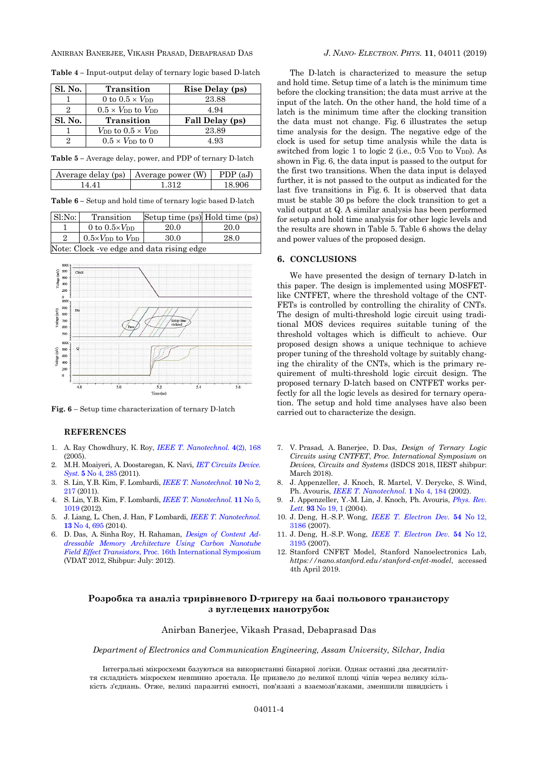ANIRBAN BANERJEE, VIKASH PRASAD, DEBAPRASAD DAS *J. NANO- ELECTRON. PHYS.* **[11](#page-0-2)**, [04011](#page-0-2) [\(2019\)](#page-0-2)

**Table 4 –** Input-output delay of ternary logic based D-latch

| Sl. No. | <b>Transition</b>                             | Rise Delay (ps) |
|---------|-----------------------------------------------|-----------------|
|         | 0 to $0.5 \times V_{\text{DD}}$               | 23.88           |
| 9.      | $0.5 \times V_{DD}$ to $V_{DD}$               | 4.94            |
|         |                                               |                 |
| Sl. No. | <b>Transition</b>                             | Fall Delay (ps) |
|         | $V_{\text{DD}}$ to $0.5 \times V_{\text{DD}}$ | 23.89           |

**Table 5 –** Average delay, power, and PDP of ternary D-latch

|     | Average delay (ps)   Average power $(W)$ | (aJ)<br>PDP. |
|-----|------------------------------------------|--------------|
| 441 | 1 312                                    | 18.906       |
|     |                                          |              |

**Table 6 –** Setup and hold time of ternary logic based D-latch

| Sl:No:                                    | Transition                                   | Setup time (ps) Hold time (ps) |      |  |
|-------------------------------------------|----------------------------------------------|--------------------------------|------|--|
|                                           | 0 to $0.5 \times V_{DD}$                     | 20.0                           | 20.0 |  |
| $\mathcal{D}_{\mathcal{L}}$               | $0.5\times V_{\text{DD}}$ to $V_{\text{DD}}$ | 30.0                           | 28.0 |  |
| Note: Clock -ve edge and data rising edge |                                              |                                |      |  |



**Fig. 6** – Setup time characterization of ternary D-latch

# **REFERENCES**

- 1. А. Ray Chowdhury, К. Roy, *[IEEE T. Nanotechnol.](https://doi.org/10.1109/TNANO.2004.842068)* **4**(2), 168 (2005).
- 2. M.H. Moaiyeri, A. Doostaregan, K. Navi, *[IET Circuits Device.](http://doi.org/10.1049/iet-cds.2010.0340) Syst.* **5** No [4, 285](http://doi.org/10.1049/iet-cds.2010.0340) (2011).
- 3. S. Lin, Y.B. Kim, F. Lombardi, *[IEEE T. Nanotechnol.](https://doi.org/10.1109/TNANO.2009.2036845)* **10** No 2, [217](https://doi.org/10.1109/TNANO.2009.2036845) (2011).
- 4. S. Lin, Y.B. Kim, F. Lombardi, *[IEEE T. Nanotechnol.](https://doi.org/10.1109/TNANO.2012.2211614)* **11** No 5, [1019](https://doi.org/10.1109/TNANO.2012.2211614) (2012).
- 5. J. Liang, L. Chen, J. Han, F Lombardi, *[IEEE T. Nanotechnol.](https://doi.org/10.1109/TNANO.2014.2316000)* **13** No [4, 695](https://doi.org/10.1109/TNANO.2014.2316000) (2014).
- 6. D. Das, A. Sinha Roy, H. Rahaman, *[Design of Content Ad](https://doi.org/10.1080/21681724.2014.911368)[dressable Memory Architecture Using Carbon Nanotube](https://doi.org/10.1080/21681724.2014.911368)  Field Effect Transistors*[, Proc. 16th International Symposium](https://doi.org/10.1080/21681724.2014.911368) (VDAT 2012, Shibpur: July: 2012).

The D-latch is characterized to measure the setup and hold time. Setup time of a latch is the minimum time before the clocking transition; the data must arrive at the input of the latch. On the other hand, the hold time of a latch is the minimum time after the clocking transition the data must not change. Fig. 6 illustrates the setup time analysis for the design. The negative edge of the clock is used for setup time analysis while the data is switched from logic 1 to logic 2 (i.e.,  $0.5$  V<sub>DD</sub> to V<sub>DD</sub>). As shown in Fig. 6, the data input is passed to the output for the first two transitions. When the data input is delayed further, it is not passed to the output as indicated for the last five transitions in Fig. 6. It is observed that data must be stable 30 ps before the clock transition to get a valid output at Q. A similar analysis has been performed for setup and hold time analysis for other logic levels and the results are shown in Table 5. Table 6 shows the delay and power values of the proposed design.

#### **6. CONCLUSIONS**

We have presented the design of ternary D-latch in this paper. The design is implemented using MOSFETlike CNTFET, where the threshold voltage of the CNT-FETs is controlled by controlling the chirality of CNTs. The design of multi-threshold logic circuit using traditional MOS devices requires suitable tuning of the threshold voltages which is difficult to achieve. Our proposed design shows a unique technique to achieve proper tuning of the threshold voltage by suitably changing the chirality of the CNTs, which is the primary requirement of multi-threshold logic circuit design. The proposed ternary D-latch based on CNTFET works perfectly for all the logic levels as desired for ternary operation. The setup and hold time analyses have also been carried out to characterize the design.

- 7. V. Prasad, A. Banerjee, D. Das, *Design of Ternary Logic Circuits using CNTFET*, *Proc. International Symposium on Devices, Circuits and Systems* (ISDCS 2018, IIEST shibpur: March 2018).
- 8. J. Appenzeller, J. Knoch, R. Martel, V. Derycke, S. Wind, Ph. Avouris, *IEEE T. [Nanotechnol.](https://doi.org/10.1109/TNANO.2002.807390)* **1** No 4, 184 (2002).
- 9. J. Appenzeller, Y.-M. Lin, J. Knoch, Ph. Avouris, *[Phys.](https://doi.org/10.1103/PhysRevLett.93.196805) Rev. [Lett.](https://doi.org/10.1103/PhysRevLett.93.196805)* **93** No 19, 1 (2004).
- 10. J. Deng, H.-S.P. Wong, *[IEEE T. Electron](https://doi.org/10.1109/TED.2007.909030) Dev.* **54** No 12, [3186](https://doi.org/10.1109/TED.2007.909030) (2007).
- 11. J. Deng, H.-S.P. Wong, *IEEE T. [Electron Dev.](https://doi.org/10.1109/TED.2007.909043)* **54** No 12, [3195](https://doi.org/10.1109/TED.2007.909043) (2007).
- 12. Stanford CNFET Model, Stanford Nanoelectronics Lab, *https://nano.stanford.edu/stanford-cnfet-model*, accessed 4th April 2019.

# **Розробка та аналіз трирівневого D-тригеру на базі польового транзистору з вуглецевих нанотрубок**

#### Anirban Banerjee, Vikash Prasad, Debaprasad Das

*Department of Electronics and Communication Engineering, Assam University, Silchar, India*

Інтегральні мікросхеми базуються на використанні бінарної логіки. Однак останні два десятиліття складність мікросхем невпинно зростала. Це призвело до великої площі чіпів через велику кількість з'єднань. Отже, великі паразитні ємності, пов'язані з взаємозв'язками, зменшили швидкість і